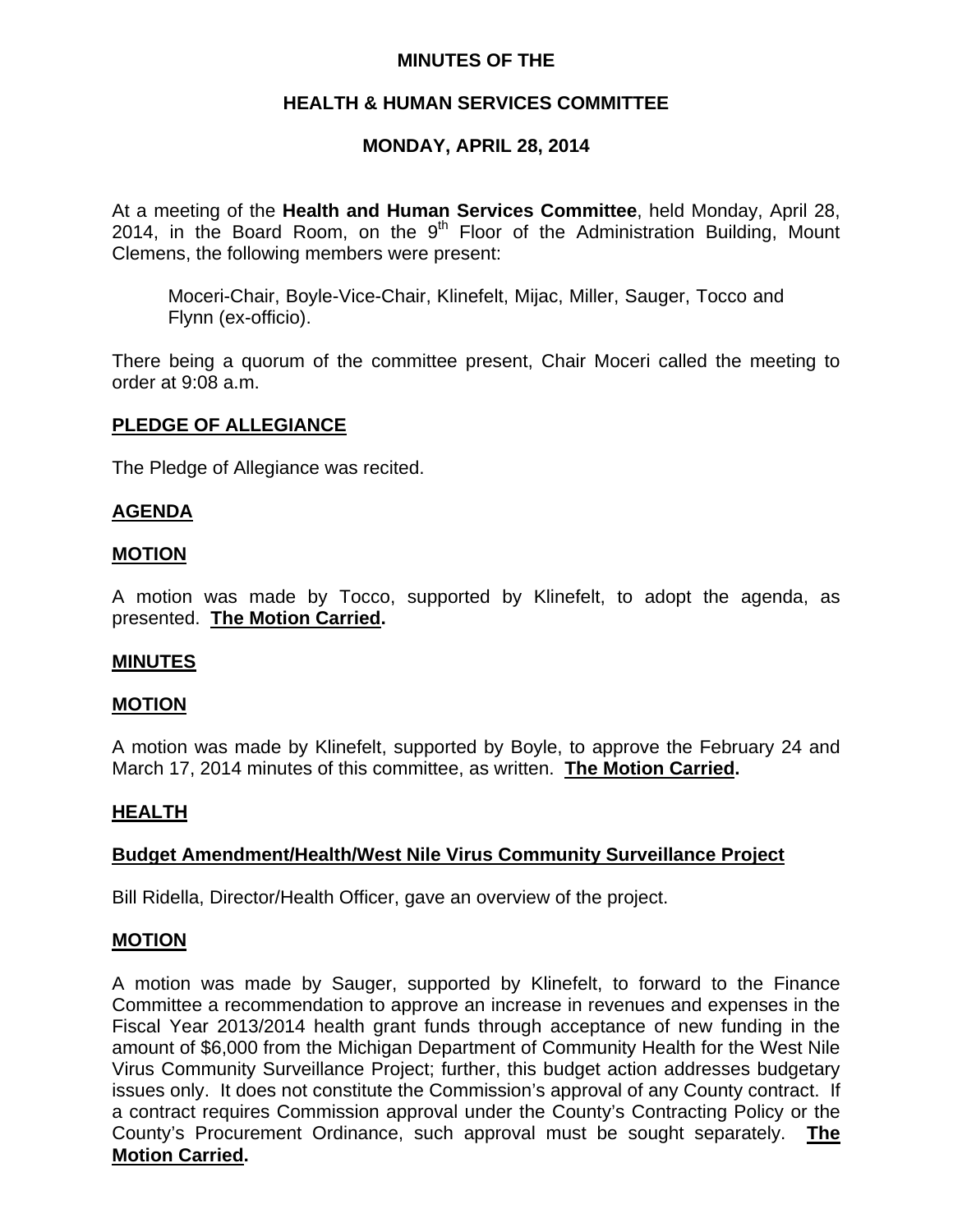# **MINUTES OF THE**

# **HEALTH & HUMAN SERVICES COMMITTEE**

# **MONDAY, APRIL 28, 2014**

At a meeting of the **Health and Human Services Committee**, held Monday, April 28, 2014, in the Board Room, on the  $9<sup>th</sup>$  Floor of the Administration Building, Mount Clemens, the following members were present:

Moceri-Chair, Boyle-Vice-Chair, Klinefelt, Mijac, Miller, Sauger, Tocco and Flynn (ex-officio).

There being a quorum of the committee present, Chair Moceri called the meeting to order at 9:08 a.m.

### **PLEDGE OF ALLEGIANCE**

The Pledge of Allegiance was recited.

### **AGENDA**

### **MOTION**

A motion was made by Tocco, supported by Klinefelt, to adopt the agenda, as presented. **The Motion Carried.** 

### **MINUTES**

### **MOTION**

A motion was made by Klinefelt, supported by Boyle, to approve the February 24 and March 17, 2014 minutes of this committee, as written. **The Motion Carried.** 

### **HEALTH**

### **Budget Amendment/Health/West Nile Virus Community Surveillance Project**

Bill Ridella, Director/Health Officer, gave an overview of the project.

#### **MOTION**

A motion was made by Sauger, supported by Klinefelt, to forward to the Finance Committee a recommendation to approve an increase in revenues and expenses in the Fiscal Year 2013/2014 health grant funds through acceptance of new funding in the amount of \$6,000 from the Michigan Department of Community Health for the West Nile Virus Community Surveillance Project; further, this budget action addresses budgetary issues only. It does not constitute the Commission's approval of any County contract. If a contract requires Commission approval under the County's Contracting Policy or the County's Procurement Ordinance, such approval must be sought separately. **The Motion Carried.**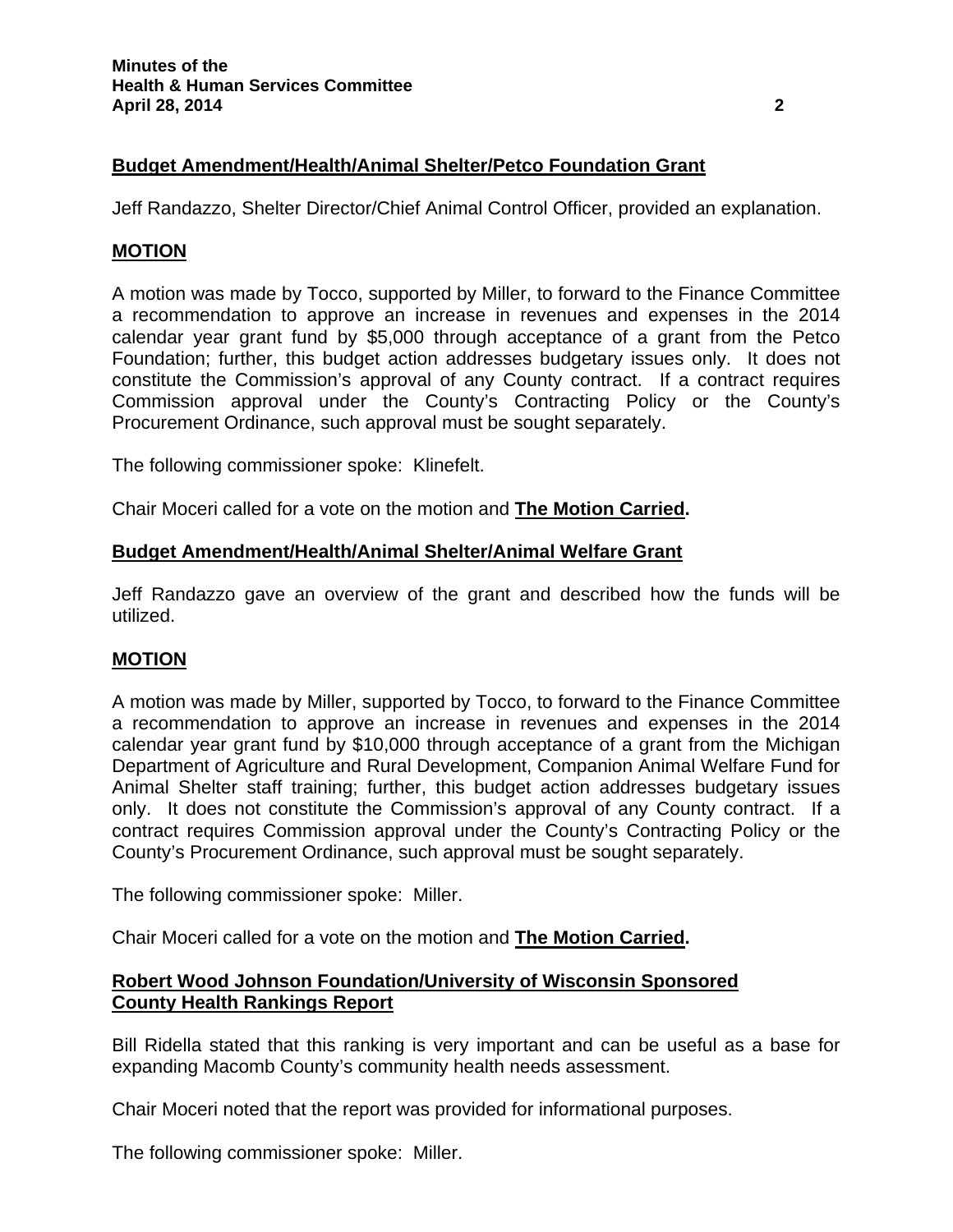# **Budget Amendment/Health/Animal Shelter/Petco Foundation Grant**

Jeff Randazzo, Shelter Director/Chief Animal Control Officer, provided an explanation.

# **MOTION**

A motion was made by Tocco, supported by Miller, to forward to the Finance Committee a recommendation to approve an increase in revenues and expenses in the 2014 calendar year grant fund by \$5,000 through acceptance of a grant from the Petco Foundation; further, this budget action addresses budgetary issues only. It does not constitute the Commission's approval of any County contract. If a contract requires Commission approval under the County's Contracting Policy or the County's Procurement Ordinance, such approval must be sought separately.

The following commissioner spoke: Klinefelt.

Chair Moceri called for a vote on the motion and **The Motion Carried.**

# **Budget Amendment/Health/Animal Shelter/Animal Welfare Grant**

Jeff Randazzo gave an overview of the grant and described how the funds will be utilized.

# **MOTION**

A motion was made by Miller, supported by Tocco, to forward to the Finance Committee a recommendation to approve an increase in revenues and expenses in the 2014 calendar year grant fund by \$10,000 through acceptance of a grant from the Michigan Department of Agriculture and Rural Development, Companion Animal Welfare Fund for Animal Shelter staff training; further, this budget action addresses budgetary issues only. It does not constitute the Commission's approval of any County contract. If a contract requires Commission approval under the County's Contracting Policy or the County's Procurement Ordinance, such approval must be sought separately.

The following commissioner spoke: Miller.

Chair Moceri called for a vote on the motion and **The Motion Carried.**

# **Robert Wood Johnson Foundation/University of Wisconsin Sponsored County Health Rankings Report**

Bill Ridella stated that this ranking is very important and can be useful as a base for expanding Macomb County's community health needs assessment.

Chair Moceri noted that the report was provided for informational purposes.

The following commissioner spoke: Miller.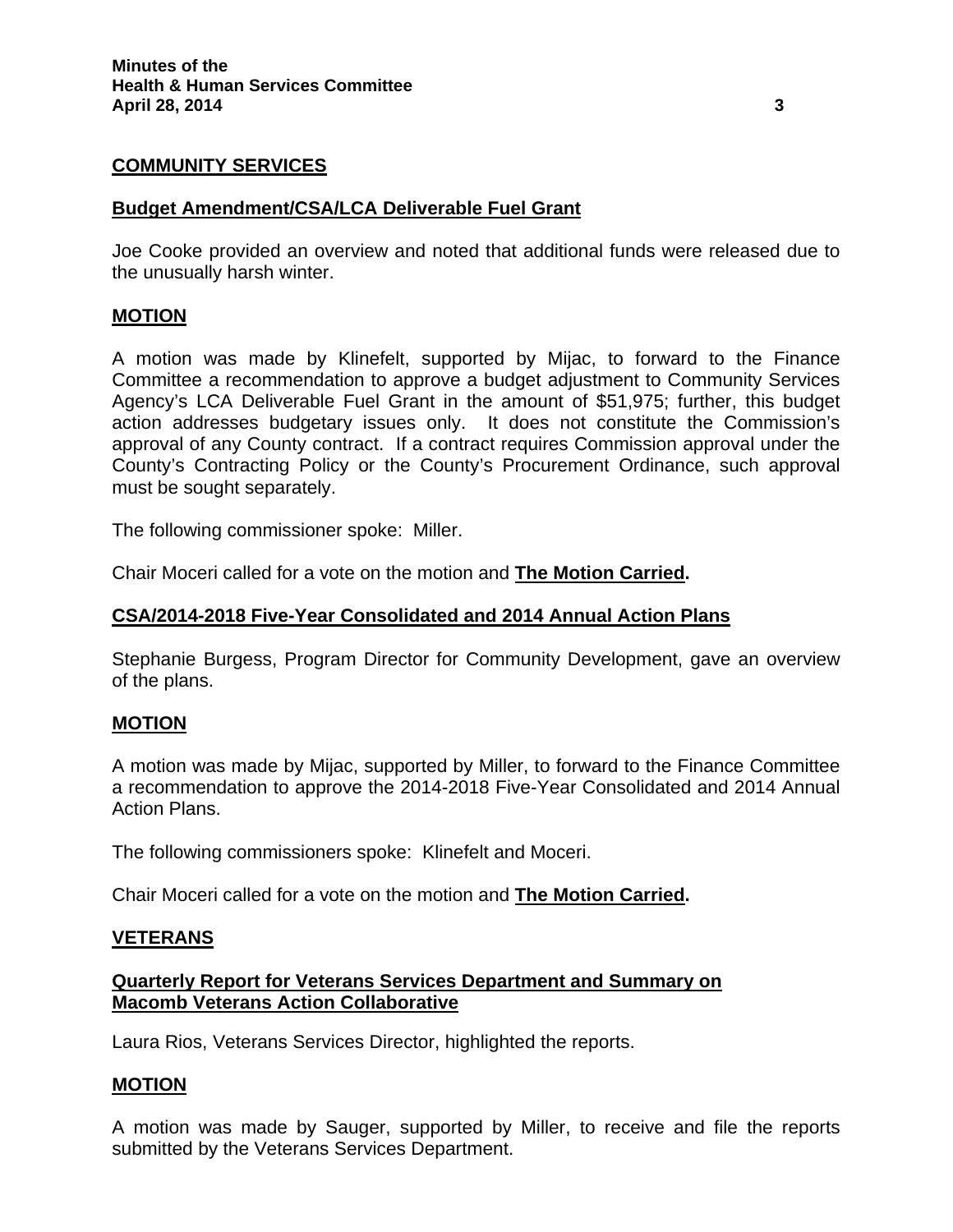# **COMMUNITY SERVICES**

### **Budget Amendment/CSA/LCA Deliverable Fuel Grant**

Joe Cooke provided an overview and noted that additional funds were released due to the unusually harsh winter.

### **MOTION**

A motion was made by Klinefelt, supported by Mijac, to forward to the Finance Committee a recommendation to approve a budget adjustment to Community Services Agency's LCA Deliverable Fuel Grant in the amount of \$51,975; further, this budget action addresses budgetary issues only. It does not constitute the Commission's approval of any County contract. If a contract requires Commission approval under the County's Contracting Policy or the County's Procurement Ordinance, such approval must be sought separately.

The following commissioner spoke: Miller.

Chair Moceri called for a vote on the motion and **The Motion Carried.**

#### **CSA/2014-2018 Five-Year Consolidated and 2014 Annual Action Plans**

Stephanie Burgess, Program Director for Community Development, gave an overview of the plans.

### **MOTION**

A motion was made by Mijac, supported by Miller, to forward to the Finance Committee a recommendation to approve the 2014-2018 Five-Year Consolidated and 2014 Annual Action Plans.

The following commissioners spoke: Klinefelt and Moceri.

Chair Moceri called for a vote on the motion and **The Motion Carried.**

### **VETERANS**

# **Quarterly Report for Veterans Services Department and Summary on Macomb Veterans Action Collaborative**

Laura Rios, Veterans Services Director, highlighted the reports.

### **MOTION**

A motion was made by Sauger, supported by Miller, to receive and file the reports submitted by the Veterans Services Department.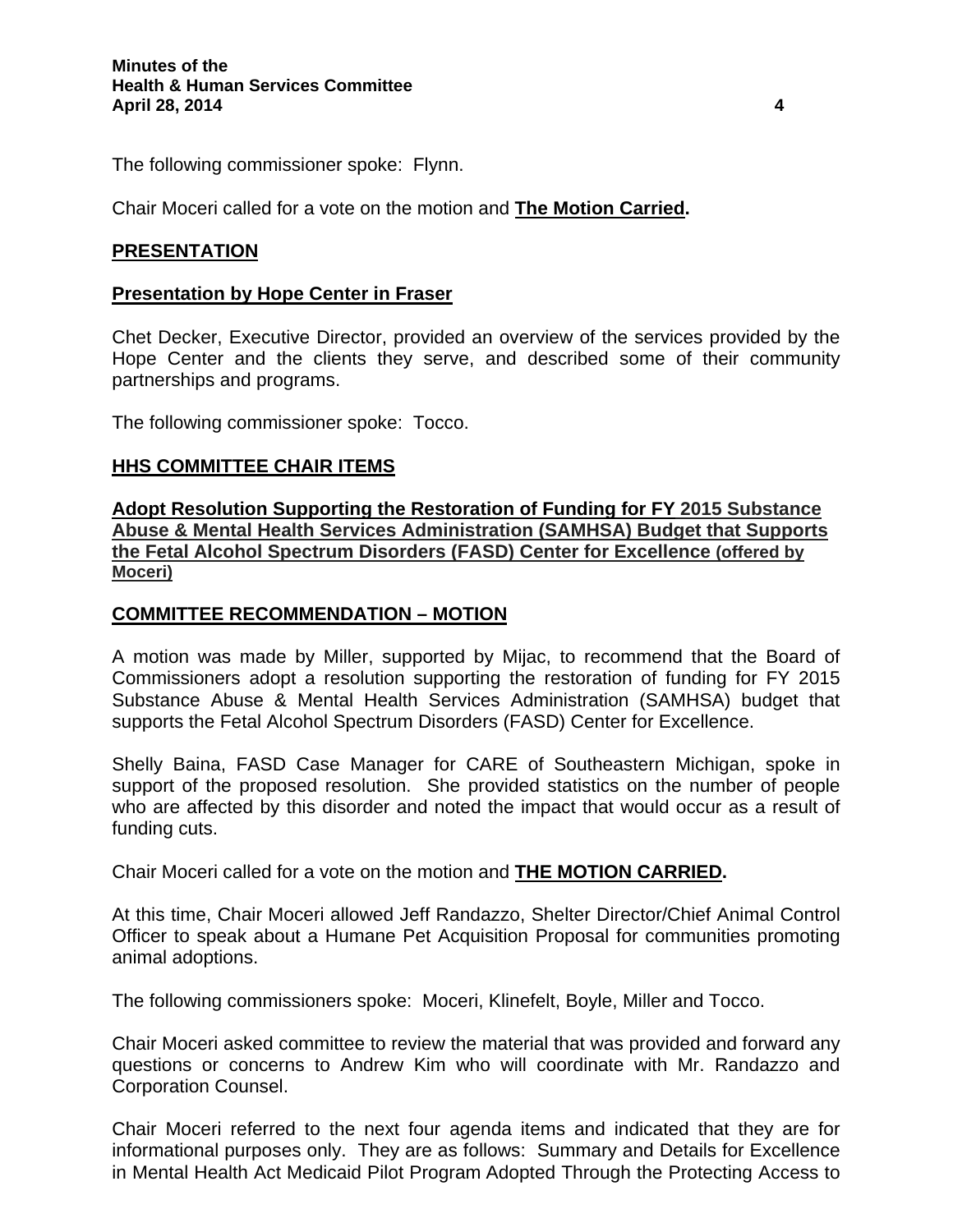The following commissioner spoke: Flynn.

Chair Moceri called for a vote on the motion and **The Motion Carried.**

# **PRESENTATION**

### **Presentation by Hope Center in Fraser**

Chet Decker, Executive Director, provided an overview of the services provided by the Hope Center and the clients they serve, and described some of their community partnerships and programs.

The following commissioner spoke: Tocco.

### **HHS COMMITTEE CHAIR ITEMS**

**Adopt Resolution Supporting the Restoration of Funding for FY 2015 Substance Abuse & Mental Health Services Administration (SAMHSA) Budget that Supports the Fetal Alcohol Spectrum Disorders (FASD) Center for Excellence (offered by Moceri)**

# **COMMITTEE RECOMMENDATION – MOTION**

A motion was made by Miller, supported by Mijac, to recommend that the Board of Commissioners adopt a resolution supporting the restoration of funding for FY 2015 Substance Abuse & Mental Health Services Administration (SAMHSA) budget that supports the Fetal Alcohol Spectrum Disorders (FASD) Center for Excellence.

Shelly Baina, FASD Case Manager for CARE of Southeastern Michigan, spoke in support of the proposed resolution. She provided statistics on the number of people who are affected by this disorder and noted the impact that would occur as a result of funding cuts.

Chair Moceri called for a vote on the motion and **THE MOTION CARRIED.** 

At this time, Chair Moceri allowed Jeff Randazzo, Shelter Director/Chief Animal Control Officer to speak about a Humane Pet Acquisition Proposal for communities promoting animal adoptions.

The following commissioners spoke: Moceri, Klinefelt, Boyle, Miller and Tocco.

Chair Moceri asked committee to review the material that was provided and forward any questions or concerns to Andrew Kim who will coordinate with Mr. Randazzo and Corporation Counsel.

Chair Moceri referred to the next four agenda items and indicated that they are for informational purposes only. They are as follows: Summary and Details for Excellence in Mental Health Act Medicaid Pilot Program Adopted Through the Protecting Access to